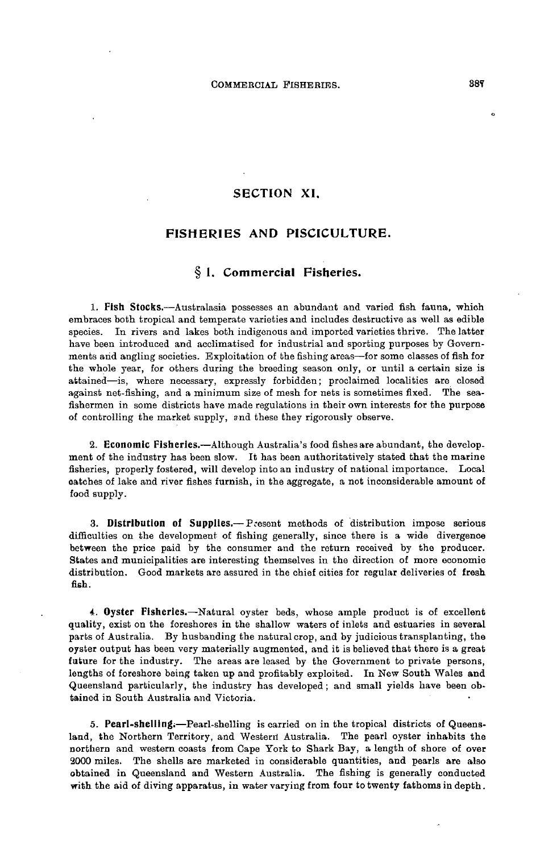## **SECTION XI.**

## **FISHERIES AND PISCICULTURE.**

## **§ 1. Commercial Fisheries.**

**1. Fish Stocks.**—Australasia possesses an abundant and varied fish fauna, which embraces both tropical and temperate varieties and includes destructive as well as edible species. In rivers and lakes both indigenous and imported varieties thrive. The latter have been introduced and acclimatised for industrial and sporting purposes by Governments arid angling societies. Exploitation of the fishing areas—for some classes of fish for the whole year, for others during the breeding season only, or until a certain size is attained—is, where necessary, expressly forbidden; proclaimed localities are closed against net-fishing, and a minimum size of mesh for nets is sometimes fixed. The seafishermen in some districts have made regulations in their own interests for the purpose of controlling the market supply, and these they rigorously observe.

**2. Economic Fisheries.**—Although Australia's food fishes are abundant, the development of the industry has been slow. It has been authoritatively stated that the marine fisheries, properly fostered, will develop into an industry of national importance. Local oatches of lake and river fishes furnish, in the aggregate, a not inconsiderable amount of food supply.

**3. Distribution of Supplies.**— Present methods of distribution impose serious difficulties on the development of fishing generally, since there is a wide divergence between the price paid by the consumer and the return received by the producer. States and municipalities are interesting themselves in the direction of more economic distribution. Good markets are assured in the chief cities for regular deliveries of fresh fish.

**4. Oyster Fisheries.**—Natural oyster beds, whose ample product is of excellent quality, exist on the foreshores in the shallow waters of inlets and estuaries in several parts of Australia. By husbanding the natural crop, and by judicious transplanting, the oyster output has been very materially augmented, and it is believed that there is a great future for the industry. The areas are leased by the Government to private persons, lengths of foreshore being taken up and profitably exploited. In New South Wales and Queensland particularly, the industry has developed; and small yields have been obtained in South Australia and Victoria.

**5. Pearl-shelling,**—Pearl-shelling is carried on in the tropical districts of Queensland, the Northern Territory, and Western Australia. The pearl oyster inhabits the northern and western coasts from Cape York to Shark Bay, a length of shore of over 2000 miles. The shells are marketed in considerable quantities, and pearls are also obtained in Queensland and Western Australia. The fishing is generally conducted with the aid of diving apparatus, in water varying from four to twenty fathoms in depth.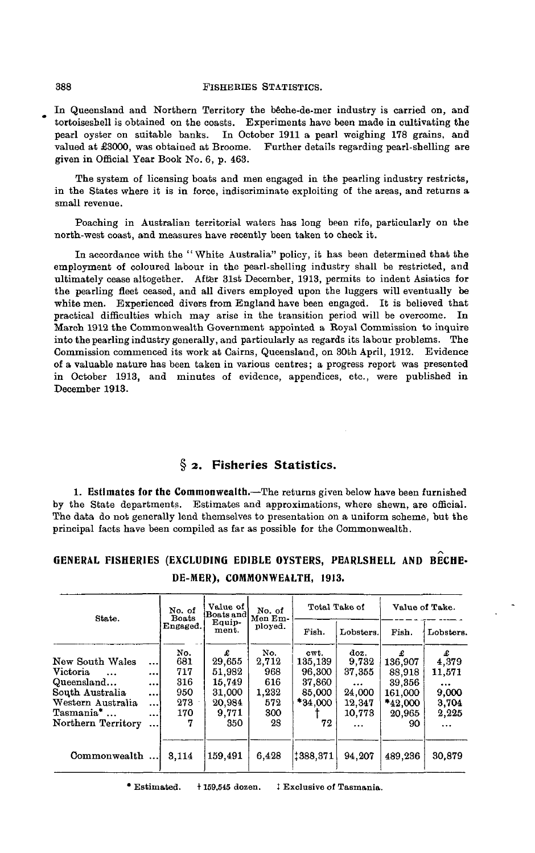### 388 FISHEBIES STATISTICS.

In Queensland and Northern Territory the beche-de-mer industry is carried on, and tortoiseshell is obtained on the coasts. Experiments have been made in cultivating the pearl oyster on suitable banks. In October 1911 a pearl weighing 178 grains, and valued at £3000, was obtained at Broome. Further details regarding pearl-shelling are given in Official Year Book No. 6, p. 463.

The system of licensing boats and men engaged in the pearling industry restricts, in the States where it is in force, indiscriminate exploiting of the areas, and returns a small revenue.

Poaching in Australian territorial waters has long been rife, particularly on the north-west coast, and measures have recently been taken to check it.

In accordance with the " White Australia" policy, it has been determined that the employment of coloured labour in the pearl-shelling industry shall be restricted, and ultimately cease altogether. After 31st December, 1913, permits to indent Asiatics for the pearling fleet ceased, and all divers employed upon the luggers will eventually be white men. Experienced divers from England have been engaged. It is believed that practical difficulties which may arise in the transition period will be overcome. In March 1912 the Commonwealth Government appointed a Royal Commission to inquire into the pearling industry generally, and particularly as regards its labour problems. The Commission commenced its work at Cairns, Queensland, on 30th April, 1912. Evidence of a valuable nature has been taken in various centres; a progress report was presented in October 1913, and minutes of evidence, appendices, etc., were published in December 1913.

## **§ 2. Fisheries Statistics.**

**1. Estimates for the Commonwealth.**—The returns given below have been furnished by the State departments. Estimates and approximations, where shewn, are official. The data do not generally lend themselves to presentation on a uniform scheme, but the principal facts have been compiled as far as possible for the Commonwealth.

## **GENERAL FISHERIES (EXCLUDING EDIBLE OYSTERS, PEARLSHELL AND BECHE-DE-MER), COMMONWEALTH, 1913.**

| State.                                                                                                                                               |                                                            | No. of<br><b>Boats</b>                             | Value of<br>Boats and                                               | No. of<br>Men Em-<br>ployed.                            |                                                                | Total Take of                                                                 | Value of Take.                                                         |                                                                 |
|------------------------------------------------------------------------------------------------------------------------------------------------------|------------------------------------------------------------|----------------------------------------------------|---------------------------------------------------------------------|---------------------------------------------------------|----------------------------------------------------------------|-------------------------------------------------------------------------------|------------------------------------------------------------------------|-----------------------------------------------------------------|
|                                                                                                                                                      |                                                            | Engaged.                                           | Equip-<br>ment.                                                     |                                                         | Fish.                                                          | Lobsters.                                                                     | Fish.                                                                  | Lobsters.                                                       |
| New South Wales<br><b>Victoria</b><br>$\ddotsc$<br>Queensland<br>South Australia<br>Western Australia<br>Tasmania <sup>*</sup><br>Northern Territory | <br><br>$\cdots$<br><br>$\ddotsc$<br>$\cdots$<br>$\ddotsc$ | No.<br>681<br>717<br>316<br>950<br>273<br>170<br>7 | £<br>29,655<br>51.982<br>15.749<br>31.000<br>20,984<br>9,771<br>350 | No.<br>2,712<br>968<br>616<br>1,232<br>572<br>300<br>28 | cwt.<br>135,139<br>96,300<br>37,860<br>85,000<br>*34.000<br>72 | doz.<br>9,732<br>37,355<br>$\cdots$<br>24,000<br>12,347<br>10.773<br>$\cdots$ | 136,907<br>88,918<br>39,356<br>161.000<br>$*_{42,000}$<br>20,965<br>90 | £<br>4,379<br>11,571<br><br>9,000<br>3.704<br>2,225<br>$\cdots$ |
| Commonwealth                                                                                                                                         |                                                            | 3,114                                              | 159.491                                                             | 6.428                                                   | 1388.371                                                       | 94.207                                                                        | 489,236                                                                | 30.879                                                          |

• Estimated. 1159,515 dozen. J Exclusive of Tasmania.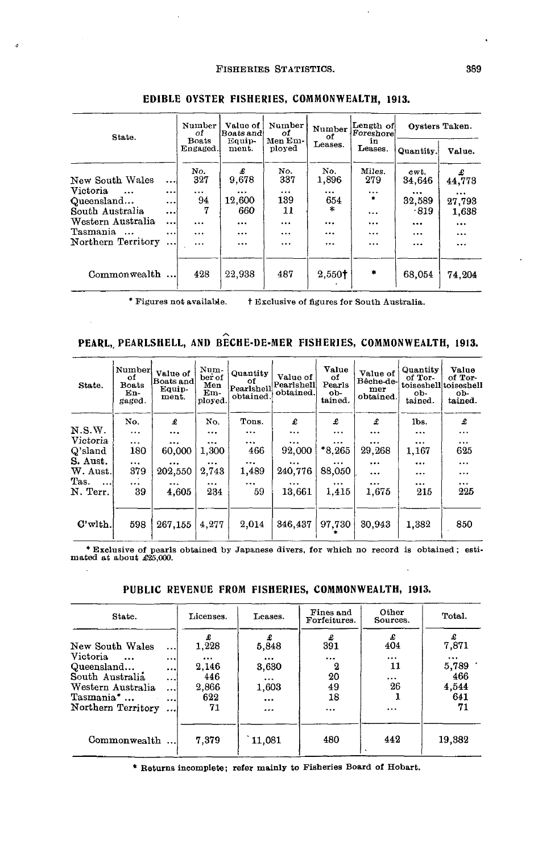### FISHERIES STATISTICS. 389

| State.                                                 |                          | Number<br>оf        | Value of<br>Boats and!    | Number<br>Ωf<br>Men Em-<br>ployed | Number<br>οf         | Length of<br>Foreshore             | Oysters Taken.               |                               |
|--------------------------------------------------------|--------------------------|---------------------|---------------------------|-----------------------------------|----------------------|------------------------------------|------------------------------|-------------------------------|
|                                                        |                          | Boats<br>Engaged.   | Equip-<br>ment.           |                                   | Leases.              | in<br>Leases.                      | Quantity.                    | Value.                        |
| New South Wales                                        | $\cdots$                 | No.<br>327          | £<br>9.678                | No.<br>337                        | No.<br>1,896         | Miles.<br>279                      | cwt.<br>34,646               | £<br>44,773                   |
| Victoria<br>$\ddotsc$<br>Queensland<br>South Australia | $\cdots$<br>$\cdots$     | $\cdots$<br>94<br>7 | $\cdots$<br>12,600<br>660 | $\cdots$<br>139<br>11             | $\cdots$<br>654<br>宋 | $\cdots$<br>$\bullet$              | $\cdots$<br>32,589<br>$-819$ | $\cdots$<br>27,793            |
| Western Australia<br>Tasmania                          | $\cdots$<br><br>$\cdots$ | <br>$\cdots$        | $\cdots$<br>              | $\cdots$<br>$\ddotsc$             | $\cdots$<br>         | $\ddotsc$<br>$\ddotsc$<br>$\cdots$ | $\ddotsc$<br>$\cdots$        | 1,638<br>$\cdots$<br>$\cdots$ |
| Northern Territory                                     |                          | $\ddotsc$           |                           | $\cdots$                          | $\cdots$             | $\cdots$                           | $\cdots$                     | $\cdots$                      |
| Commonwealth                                           |                          | 428                 | 22,938                    | 487                               | 2,550 <sup>†</sup>   | ٠                                  | 68.054                       | 74.204                        |

### **EDIBLE OYSTER FISHERIES, COMMONWEALTH, 1913.**

J.

\* Figures not available. t Exclusive of figures for South Australia.

 $\ddot{\phantom{0}}$ 

# PEARL, PEARLSHELL, AND BECHE-DE-MER FISHERIES, COMMONWEALTH, 1913.

| State.           | Number<br>оf<br><b>Boats</b><br>En-<br>gaged. | Value of<br>Boats and<br>Equip-<br>ment. | Num-<br>ber of<br>Men<br>Em-<br>ployed. | Quantity<br>of<br>Pearlshell<br>obtained. | Value of<br>Pearlshell<br>obtained. | Value<br>οf<br>Pearls<br>ob-<br>tained. | Value of<br>Bêche-de-<br>mer<br>obtained. | Quantity<br>of Tor-<br>ob-<br>tained. | Value<br>of Tor-<br>toiseshelltoiseshell<br>ob-<br>tained. |
|------------------|-----------------------------------------------|------------------------------------------|-----------------------------------------|-------------------------------------------|-------------------------------------|-----------------------------------------|-------------------------------------------|---------------------------------------|------------------------------------------------------------|
|                  | No.                                           | £                                        | No.                                     | Tons.                                     | £                                   | £                                       | £                                         | lbs.                                  | £                                                          |
| N.S.W.           | $\ddotsc$                                     |                                          | $\cdots$                                | $\cdots$                                  |                                     |                                         | $\cdots$                                  | $\cdots$                              | $\cdots$                                                   |
| Victoria         | $\cdots$                                      |                                          | $\cdots$                                |                                           | $\cdots$                            | $\cdots$                                | $\cdots$                                  |                                       | $\cdots$                                                   |
| Q'sland          | 180                                           | 60,000                                   | 1,300                                   | 466                                       | 92,000                              | $*8.265$                                | 29,268                                    | 1,167                                 | 625                                                        |
| S. Aust.         | $\cdots$                                      | $\cdots$                                 | $\cdots$                                |                                           |                                     |                                         | $\cdots$                                  | $\cdots$                              | $\cdots$                                                   |
| W. Aust.         | 379                                           | 202,550                                  | 2,743                                   | 1.489                                     | 240.776                             | 88,050                                  | $\cdots$                                  |                                       |                                                            |
| Tas.<br>$\cdots$ | $\cdots$                                      |                                          | $\cdots$                                |                                           |                                     | $\cdots$                                | $\cdots$                                  | $\cdots$                              | $\cdots$                                                   |
| N. Terr.         | 39                                            | 4,605                                    | 234                                     | 59                                        | 13,661                              | 1.415                                   | 1.675                                     | 215                                   | 225                                                        |
| $C'$ with.       | 598                                           | 267,155                                  | 4,277                                   | 2,014                                     | 346,437                             | 97,730                                  | 30.943                                    | 1.382                                 | 850                                                        |

\* Exclusive of pearls obtained by Japanese divers, for which no record is obtained; esti-mated at about £25,000.

| PUBLIC REVENUE FROM FISHERIES, COMMONWEALTH, 1913. |  |
|----------------------------------------------------|--|
|----------------------------------------------------|--|

| State.                               |                        | Licenses.         | Leases.              | Fines and<br>Forfeitures. | Other<br>Sources. | Total.            |
|--------------------------------------|------------------------|-------------------|----------------------|---------------------------|-------------------|-------------------|
| New South Wales                      | $\cdots$               | 1.228             | £<br>5,848           | £<br>391                  | £<br>404          | 7,871             |
| Victoria<br>$\cdots$<br>Queensland   | <br>                   | $\cdots$<br>2,146 | $\cdots$<br>3,630    | $\ddotsc$<br>2            | <br>11            | $\cdots$<br>5,789 |
| South Australia<br>Western Australia | $\cdots$<br>$\cdots$   | 446<br>2,866      | $\cdots$<br>1,603    | 20<br>49                  | $\cdots$<br>26    | 466<br>4,544      |
| Tasmania*<br>Northern Territory      | $\ddotsc$<br>$\ddotsc$ | 622<br>71         | $\cdots$<br>$\cdots$ | 18<br>$\cdots$            |                   | 641<br>71         |
| Commonwealth                         |                        | 7,379             | 11,081               | 480                       | 442               | 19,382            |

**\* Returns incomplete; refer mainly to Fisheries Board of Hobart.**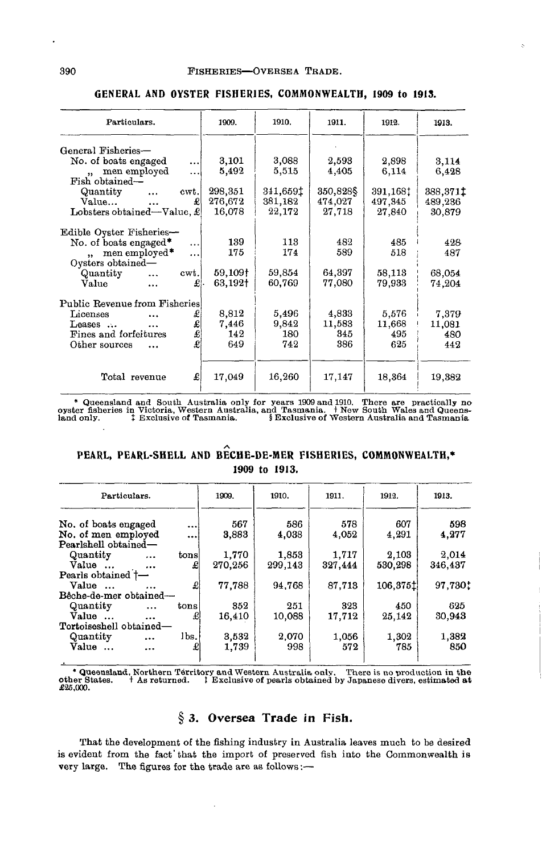| Particulars.                                       | 1909.   | 1910.    | 1911.     | 1912.    | 1913.    |
|----------------------------------------------------|---------|----------|-----------|----------|----------|
| General Fisheries-                                 |         |          |           |          |          |
| No. of boats engaged<br>$\ddotsc$                  | 3,101   | 3,088    | 2,593     | 2,898    | 3.114    |
| men employed<br>$\ddotsc$<br>$\ddot{\phantom{a}}$  | 5,492   | 5,515    | 4,405     | 6,114    | 6,428    |
| Fish obtained—                                     |         |          |           |          |          |
| Quantity<br>cwt.<br>$\cdots$                       | 298,351 | 341,6591 | 350,828\$ | 391,168: | 388,371‡ |
| Value<br>£                                         | 276,672 | 381,182  | 474,027   | 497, 345 | 489,236  |
| Lobsters obtained—Value, £                         | 16,078  | 22,172   | 27,718    | 27,840   | 30,879   |
|                                                    |         |          |           |          |          |
| Edible Oyster Fisheries-                           |         |          |           |          |          |
| No. of boats engaged*<br>$\cdots$                  | 139     | 113      | 482       | 485      | 428      |
| men employed*<br>$\ddotsc$<br>$\ddot{\phantom{a}}$ | 175     | 174      | 589       | 518      | 487      |
| Oysters obtained-                                  |         |          |           |          |          |
| cwt.<br>Quantity<br>$\cdots$                       | 59,109† | 59,854   | 64,397    | 58,113   | 68,054   |
| £l<br>Value<br>$\ddotsc$                           | 63,192+ | 60,769   | 77,080    | 79,933   | 74,204   |
|                                                    |         |          |           |          |          |
| Public Revenue from Fisheries                      |         |          |           |          |          |
| Licenses<br>£<br>$\ddotsc$                         | 8,812   | 5,496    | 4,833     | 5.576    | 7,379    |
| £<br>Leases<br>                                    | 7.446   | 9,842    | 11,583    | 11,668   | 11,081   |
| £<br>Fines and forfeitures                         | 142     | 180      | 345       | 495      | 480      |
| £<br>Other sources<br>$\ddotsc$                    | 649     | 742      | 386       | 625      | 442      |
|                                                    |         |          |           |          |          |
| £<br>Total revenue                                 | 17,049  | 16,260   | 17,147    | 18,364   | 19,382   |

#### **GENERAL AND OYSTER FISHERIES, COMMONWEALTH, 1909 to 1913.**

\* Queensland and South Australia only for years 1909 and 1910. There are practically no yeter fiberies in Victoria, Western Australia, and Tasmania. + New South Wales and Queens-<br>hand only.

## **PEARL, PEARL-SHELL AND BECHE-DE-MER FISHERIES, COMMONWEALTH,\* 1909 to 1913.**

| Particulars.                 |           |           | 1909.   | 1910.   | 1911.   | 1912.    | 1913.   |
|------------------------------|-----------|-----------|---------|---------|---------|----------|---------|
| No. of boats engaged         |           | $\ddotsc$ | 567     | 586     | 578     | 607      | 598     |
| No. of men employed          |           | $\ddotsc$ | 3,883   | 4,038   | 4,052   | 4,291    | 4,277   |
| Pearlshell obtained-         |           |           |         |         |         |          |         |
| Quantity                     |           | tons      | 1,770   | 1,853   | 1.717   | 2,103    | 2,014   |
| Value                        | $\cdots$  | £         | 270,256 | 299,143 | 327,444 | 530,298  | 346,437 |
| Pearls obtained <sup>†</sup> |           |           |         |         |         |          |         |
| Value                        | $\cdots$  | £         | 77.788  | 94.768  | 87,713  | 106.3751 | 97,730: |
| Bêche-de-mer obtained-       |           |           |         |         |         |          |         |
| Quantity                     |           | tons      | 352     | 251     | 323     | 450      | 625     |
| Value                        | $\cdots$  | £l        | 16.410  | 10,088  | 17,712  | 25,142   | 30,943  |
| Tortoiseshell obtained-      |           |           |         |         |         |          |         |
| Quantity                     | $\cdots$  | lbs.      | 3,532   | 2,070   | 1,056   | 1.302    | 1,382   |
| Value                        | $\ddotsc$ | £         | 1,739   | 998     | 572     | 785      | 850     |
|                              |           |           |         |         |         |          |         |

\* Queensland, Northern Territory and Western Australia only. There is no production in the other States. + As returned. *I* Exclusive of pearls obtained by Japanese divers, estimated at other States.<br>£25,000.

## **§ 3. Oversea Trade in Fish.**

That the development of the fishing industry in Australia leaves much to be desired is evident from the fact' that the import of preserved fish into the Commonwealth is very large. The figures for the trade are as follows:—

÷,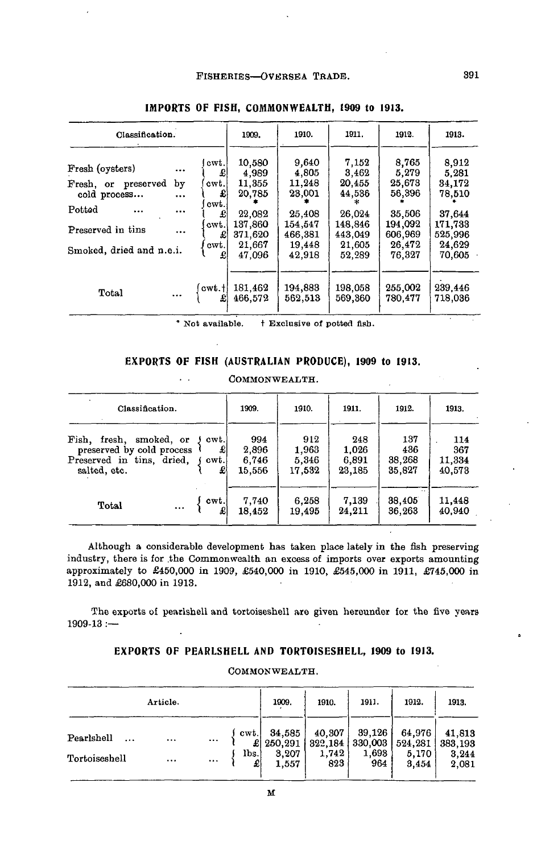| Classification.                                                                              |                            |                                                  | 1909.                                                               | 1910.                                                              | 1911.                                                              | 1912.                                                              | 1913.                                                              |
|----------------------------------------------------------------------------------------------|----------------------------|--------------------------------------------------|---------------------------------------------------------------------|--------------------------------------------------------------------|--------------------------------------------------------------------|--------------------------------------------------------------------|--------------------------------------------------------------------|
| Fresh (oysters)<br>preserved<br>Fresh, or<br>cold process<br>Potted<br><br>Preserved in tins | $\cdots$<br>by<br><br><br> | cwt.<br>£<br>cwt.<br>£<br>cwt.<br>£<br>cwt.<br>£ | 10,580<br>4,989<br>11,355<br>20,785<br>22,082<br>137,860<br>371,620 | 9,640<br>4,805<br>11,248<br>23,001<br>25,408<br>154,547<br>466,381 | 7,152<br>3,462<br>20,455<br>44,536<br>26.024<br>148.846<br>443,049 | 8,765<br>5,279<br>25,673<br>56,396<br>35,506<br>194,092<br>606,969 | 8,912<br>5.281<br>34,172<br>78,510<br>37.644<br>171,733<br>525,996 |
| Smoked, dried and n.e.i.                                                                     |                            | cwt.<br>£                                        | 21,667<br>47.096                                                    | 19.448<br>42,918                                                   | 21,605<br>52,289                                                   | 26.472<br>76,327                                                   | 24,629<br>70,605                                                   |
| Total                                                                                        |                            | cwt.t<br>£                                       | 181.462<br>466.572                                                  | 194,883<br>562,513                                                 | 198,058<br>569,360                                                 | 255,002<br>780.477                                                 | 239,446<br>718.036                                                 |

## **IMPORTS OF FISH, COMMONWEALTH, 1909 to 1913.**

*'* Not available. t Exclusive of potted fisb.

### **EXPORTS OF FISH (AUSTRALIAN PRODUCE), 1909 to 1913.**

COMMONWEALTH.

| Classification.                                                                                      |          |                        | 1909.                           | 1910.                           | 1911.                           | 1912.                          | 1913.                          |
|------------------------------------------------------------------------------------------------------|----------|------------------------|---------------------------------|---------------------------------|---------------------------------|--------------------------------|--------------------------------|
| Fish, fresh,<br>smoked, or<br>preserved by cold process<br>Preserved in tins, dried,<br>salted, etc. |          | cwt.<br>£<br>cwt.<br>외 | 994<br>2,896<br>6,746<br>15.556 | 912<br>1,963<br>5.346<br>17,532 | 248<br>1.026<br>6,891<br>23,185 | 137<br>436<br>38,268<br>35,827 | 114<br>367<br>11,334<br>40,573 |
| Total                                                                                                | $\cdots$ | cwt.                   | 7,740<br>18.452                 | 6.258<br>19,495                 | 7,139<br>24,211                 | $\cdot$ .<br>38,405<br>36,263  | 11,448<br>40.940               |

Although a considerable development has taken place lately in the fish preserving industry, there is for .the Commonwealth an excess of imports over exports amounting approximately to £450,000 in 1909, £540,000 in 1910, £545,000 in 1911, £745,000 in 1912, and £680,000 in 1913.

The exports of pearlshell and tortoiseshell are given hereunder for the five years 1909-13 :—

## **EXPORTS OF PEARLSHELL AND TORTOISESHELL, 1909 to 1913.**

|                        | Article. |          |            | 1909.             | 1910.             | 1911.             | 1912.             | 1913.             |
|------------------------|----------|----------|------------|-------------------|-------------------|-------------------|-------------------|-------------------|
| Pearlshell<br>$\cdots$ |          |          | cwt.<br>£l | 34,585<br>250.291 | 40,307<br>322,184 | 39,126<br>330,003 | 64.976<br>524,281 | 41,813<br>383,193 |
| Tortoiseshell          |          | $\cdots$ | lbs.<br>£  | 3,207<br>1,557    | 1,742<br>823      | 1,693<br>964      | 5,170<br>3.454    | 3,244<br>2,081    |

#### COMMONWEALTH.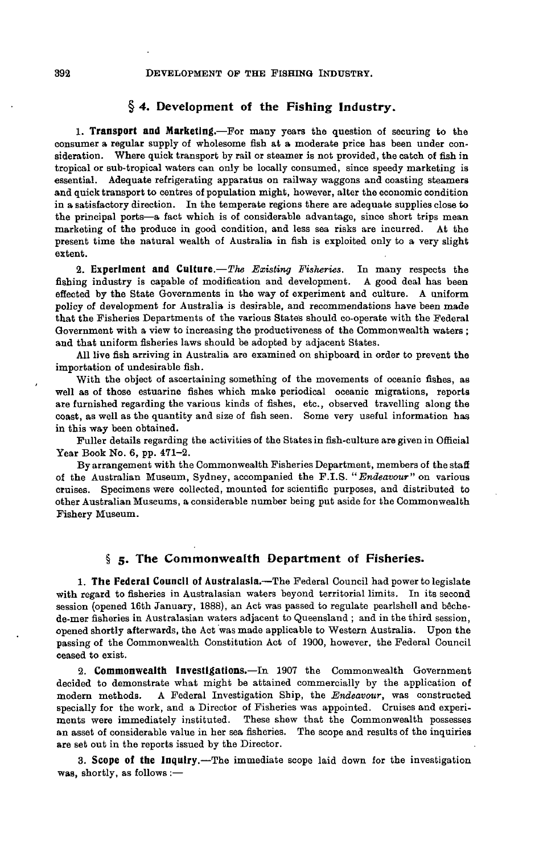### **§ 4. Development of the Fishing Industry.**

**1. Transport and Marketing.**—For many years the question of securing to the consumer a regular supply of wholesome fish at a moderate price has been under consideration. Where quick transport by rail or steamer is not provided, the catch of fish in tropical or sub-tropical waters can only be locally consumed, since speedy marketing is essential. Adequate refrigerating apparatus on railway waggons and coasting steamers and quick transport to centres of population might, however, alter the economic condition in a satisfactory direction. In the temperate regions there are adequate supplies close to the principal ports—a fact which is of considerable advantage, since short trips mean marketing of the produce in good condition, and less sea risks are incurred. At the present time the natural wealth of Australia in fish is exploited only to a very slight extent.

**2. Experiment and Culture.**—*The Existing Fisheries.* In many respects the fishing industry is capable of modification and development. A good deal has been effected by the State Governments in the way of experiment and culture. A uniform policy of development for Australia is desirable, and recommendations have been made that the Fisheries Departments of the various States should co-operate with the Federal Government with a view to increasing the productiveness of the Commonwealth waters ; and that uniform fisheries laws should be adopted by adjacent States.

All live fish arriving in Australia are examined on shipboard in order to prevent the importation of undesirable fish.

With the object of ascertaining something of the movements of oceanic fishes, as well as of those estuarine fishes which make periodical oceanic migrations, reports are furnished regarding the various kinds of fishes, etc., observed travelling along the coast, as well as the quantity and size of fish seen. Some very useful information has in this way been obtained.

Fuller details regarding the activities of the States in fish-culture are given in Official Year Book No. 6, pp. 471-2.

By arrangement with the Commonwealth Fisheries Department, members of the staff of the Australian Museum, Sydney, accompanied the F.I.S. *"Endeavour"* on various cruises. Specimens were collected, mounted for scientific purposes, and distributed to other Australian Museums, a considerable number being put aside for the Commonwealth Fishery Museum.

### **§ 5. The Commonwealth Department of Fisheries.**

**1. The Federal Council of Australasia.**—The Federal Council had power to legislate with regard to fisheries in Australasian waters beyond territorial limits. In its second session (opened 16th January, 1888), an Act was passed to regulate pearlshell and bêchede-mer fisheries in Australasian waters adjacent to Queensland ; and in the third session, opened shortly afterwards, the Act was made applicable to Western Australia. Upon the passing of the Commonwealth Constitution Act of 1900, however, the Federal Council ceased to exist.

**2. Commonwealth Investigations.—In** 1907 the Commonwealth Government decided to demonstrate what might be attained commercially by the application of modern methods. A Federal Investigation Ship, the *Endeavour,* was constructed specially for the work, and a Director of Fisheries was appointed. Cruises and experiments were immediately instituted. These shew that the Commonwealth possesses an asset of considerable value in her sea fisheries. The scope and results of the inquiries are set out in the reports issued by the Director.

**3. Scope of the Inquiry.**—The immediate scope laid down for the investigation was, shortly, as follows :—